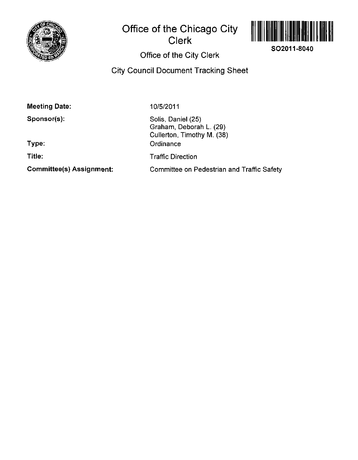

# **Office of the Chicago City Clerk**



**SO2011-8040** 

# **Office of the City Clerk**

**City Council Document Tracking Sheet** 

**Meeting Date:** 

**Sponsor(s):** 

**Type:** 

**Title:** 

**Committee(s) Assignment:** 

10/5/2011

Solis, Daniel (25) Graham, Deborah L. (29) Cullerton, Timothy M. (38) **Ordinance** Traffic Direction Committee on Pedestrian and Traffic Safety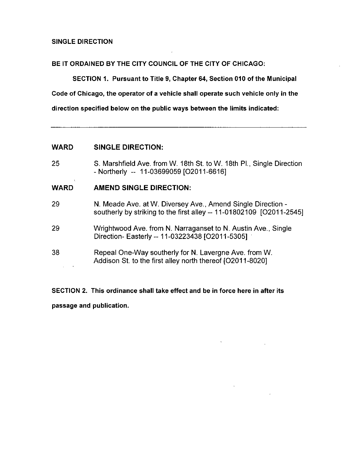### SINGLE DIRECTION

#### BE IT ORDAINED BY THE CITY COUNCIL OF THE CITY OF CHICAGO:

SECTION 1. Pursuant to Title 9, Chapter 64, Section 010 of the Municipal

Code of Chicago, the operator of a vehicle shall operate such vehicle only in the

direction specified below on the public ways between the limits indicated:

## **WARD SINGLE DIRECTION:**

25 S. Marshfield Ave. from W. 18th St. to W. 18th PI., Single Direction - Northerly -- 11-03699059 [O2011-6616]

# **WARD AMEND SINGLE DIRECTION:**

- 29 N. Meade Ave. at W. Diversey Ave., Amend Single Direction southerly by striking to the first alley  $-11-01802109$  [O2011-2545]
- 29 Wrightwood Ave. from N. Narraganset to N. Austin Ave., Single Direction- Easterly -- 11-03223438 [O2011-5305]
- 38 Repeal One-Way southerty for N. Lavergne Ave. from W. Addison St. to the first alley north thereof [O2011-8020]  $\mathbb{R}^2$

SECTION 2. This ordinance shall take effect and be in force here in after its passage and publication.